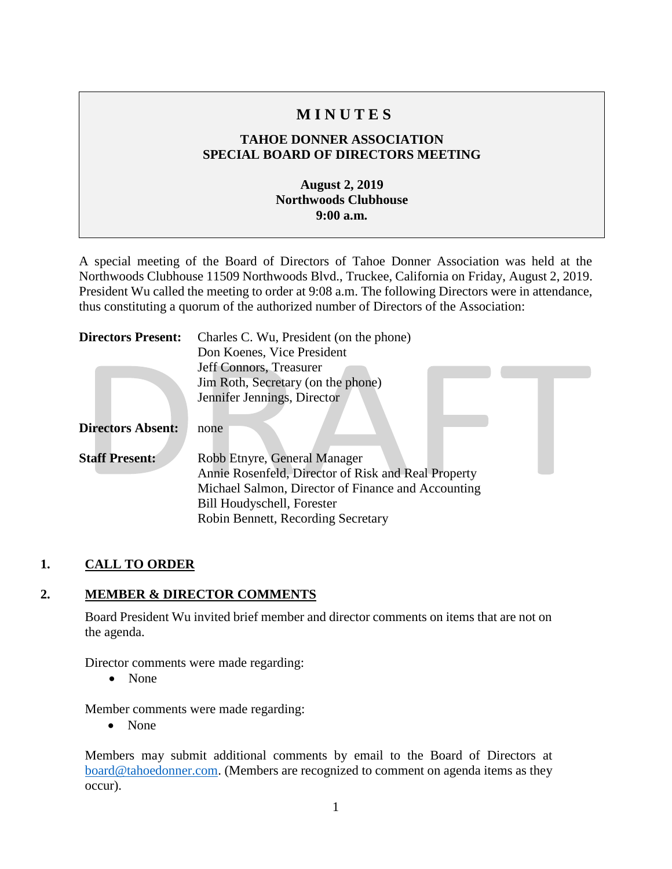# **M I N U T E S**

## **TAHOE DONNER ASSOCIATION SPECIAL BOARD OF DIRECTORS MEETING**

### **August 2, 2019 Northwoods Clubhouse 9:00 a.m.**

A special meeting of the Board of Directors of Tahoe Donner Association was held at the Northwoods Clubhouse 11509 Northwoods Blvd., Truckee, California on Friday, August 2, 2019. President Wu called the meeting to order at 9:08 a.m. The following Directors were in attendance, thus constituting a quorum of the authorized number of Directors of the Association:

| <b>Directors Present:</b> | Charles C. Wu, President (on the phone)             |
|---------------------------|-----------------------------------------------------|
|                           | Don Koenes, Vice President                          |
|                           | Jeff Connors, Treasurer                             |
|                           | Jim Roth, Secretary (on the phone)                  |
|                           | Jennifer Jennings, Director                         |
| <b>Directors Absent:</b>  | none                                                |
| <b>Staff Present:</b>     | Robb Etnyre, General Manager                        |
|                           | Annie Rosenfeld, Director of Risk and Real Property |
|                           | Michael Salmon, Director of Finance and Accounting  |
|                           | <b>Bill Houdyschell, Forester</b>                   |
|                           | Robin Bennett, Recording Secretary                  |

# **1. CALL TO ORDER**

#### **2. MEMBER & DIRECTOR COMMENTS**

Board President Wu invited brief member and director comments on items that are not on the agenda.

Director comments were made regarding:

• None

Member comments were made regarding:

• None

Members may submit additional comments by email to the Board of Directors at [board@tahoedonner.com.](mailto:board@tahoedonner.com) (Members are recognized to comment on agenda items as they occur).